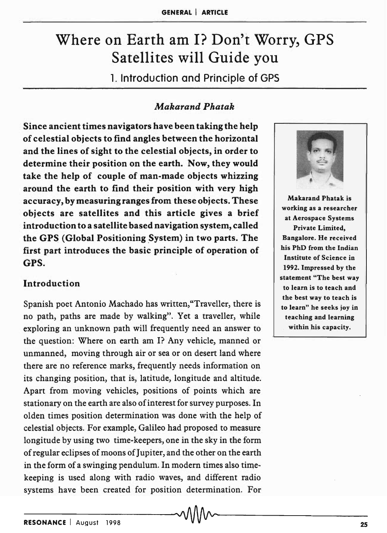# Where on Earth am I? Don't Worry, GPS Satellites will Guide you

1. Introduction and Principle of GPS

# *Makarand Phatak*

Since ancient times navigators have been taking the help of celestial objects to find angles between the horizontal and the lines of sight to the celestial objects, in order to determine their position on the earth. Now, they would take the help of couple of man-made objects whizzing around the earth to find their position with very high accuracy, by measuring ranges from these objects. These objects are satellites and this article gives a brief introduction to a satellite based navigation system, called the GPS (Global Positioning System) in two parts. The first part introduces the basic principle of operation of GPS.

# Introduction

Spanish poet Antonio Machado has written,"Traveller, there is no path, paths are made by walking". Yet a traveller, while exploring an unknown path will frequently need an answer to the question: Where on earth am I? Any vehicle, manned or unmanned, moving through air or sea or on desert land where there are no reference marks, frequently needs information on its changing position, that is, latitude, longitude and altitude. Apart from moving vehicles, positions of points which are stationary on the earth are also of interest for survey purposes. In olden times position determination was done with the help of celestial objects. For example, Galileo had proposed to measure longitude by using two time-keepers, one in the sky in the form of regular eclipses of moons of Jupiter, and the other on the earth in the form of a swinging pendulum. In modern times also timekeeping is used along with radio waves, and different radio systems have been created for position determination. For



Makarand Phatak is working as a researcher at Aerospace Systems Private Limited, Bangalore. He received his PhD from the Indian Institute of Science in 1992. Impressed by the statement "The best way to learn is to teach and the best way to teach is to learn" he seeks joy in teaching and learning within his capacity.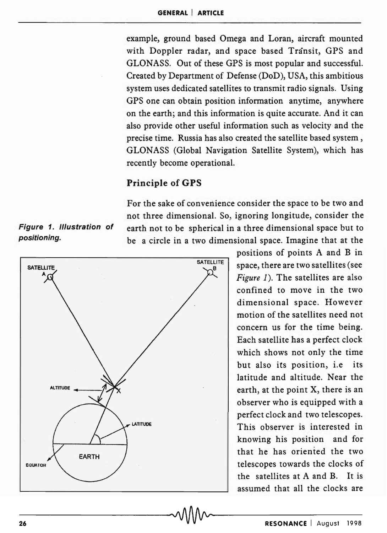example, ground based Omega and Loran, aircraft mounted with Doppler radar, and space based Transit, GPS and GLONASS. Out of these GPS is most popular and successful. Created by Department of Defense (DoD), USA, this ambitious system uses dedicated satellites to transmit radio signals. Using GPS one can obtain position information anytime, anywhere on the earth; and this information is quite accurate. And it can also provide other useful information such as velocity and the precise time. Russia has also created the satellite based system, GLONASS (Global Navigation Satellite System), which has recently become operational.

# Principle of GPS

For the sake of convenience consider the space to be two and not three dimensional. So, ignoring longitude, consider the Figure 1. Illustration of earth not to be spherical in a three dimensional space but to positioning. be a circle in a two dimensional space. Imagine that at the



positions of points A and B in space, there are two satellites (see *Figure* 1). The satellites are also confined to move in the two dimensional space. However motion of the satellites need not concern us for the time being. Each satellite has a perfect clock which shows not only the time but also its position, i.e its latitude and altitude. Near the earth, at the point X, there is an observer who is equipped with a perfect clock and two telescopes. This observer is interested in knowing his position and for that he has oriented the two telescopes towards the clocks of the satellites at A and B. It is assumed that all the clocks are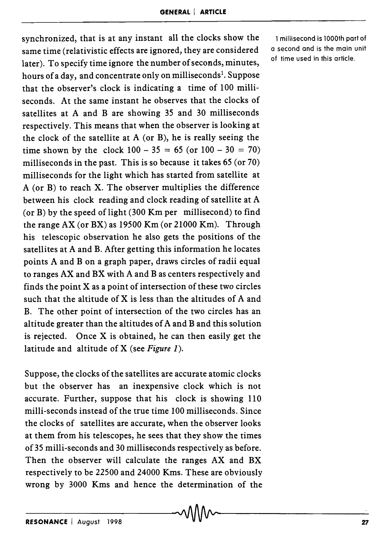synchronized, that is at any instant all the clocks show the same time (relativistic effects are ignored, they are considered later). To specify time ignore the number of seconds, minutes, hours of a day, and concentrate only on milliseconds<sup>1</sup>. Suppose that the observer's clock is indicating a time of 100 milliseconds. At the same instant he observes that the clocks of satellites at A and B are showing 35 and 30 milliseconds respectively. This means that when the observer is looking at the clock of the satellite at  $A$  (or  $B$ ), he is really seeing the time shown by the clock  $100 - 35 = 65$  (or  $100 - 30 = 70$ ) milliseconds in the past. This is so because it takes 65 (or 70) milliseconds for the light which has started from satellite at A (or B) to reach X. The observer multiplies the difference between his clock reading and clock reading of satellite at A (or B) by the speed of light  $(300 \text{ Km per}$  millisecond) to find the range AX (or BX) as 19500 Km (or 21000 Km). Through his telescopic observation he also gets the positions of the satellites at A and B. After getting this information he locates points A and B on a graph paper, draws circles of radii equal to ranges AX and BX with A and B as centers respectively and finds the point X as a point of intersection of these two circles such that the altitude of X is less than the altitudes of A and B. The other point of intersection of the two circles has an altitude greater than the altitudes of A and B and this solution is rejected. Once X is obtained, he can then easily get the latitude and altitude of X (see *Figure 1).* 

Suppose, the clocks of the satellites are accurate atomic clocks but the observer has an inexpensive clock which is not accurate. Further, suppose that his clock is showing 110 milli-seconds instead of the true time 100 milliseconds. Since the clocks of satellites are accurate, when the observer looks at them from his telescopes, he sees that they show the times of 35 milli-seconds and 30 milliseconds respectively as before. Then the observer will calculate the ranges AX and BX respectively to be 22500 and 24000 Kms. These are obviously wrong by 3000 Kms and hence the determination of the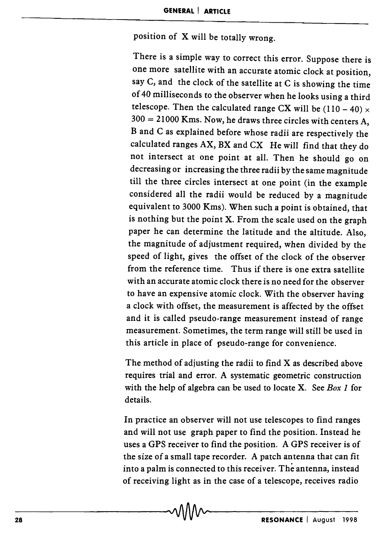position of X will be totally wrong.

There is a simple way to correct this error. Suppose there is one more satellite with an accurate atomic clock at position, say  $C$ , and the clock of the satellite at  $C$  is showing the time of 40 milliseconds to the observer when he looks using a third telescope. Then the calculated range CX will be  $(110 - 40) \times$  $300 = 21000$  Kms. Now, he draws three circles with centers A, B and C as explained before whose radii are respectively the calculated ranges  $AX$ ,  $BX$  and  $CX$  He will find that they do not intersect at one point at all. Then he should go on decreasing or increasing the three radii by the same magnitude till the three circles intersect at one point (in the example considered all the radii would be reduced by a magnitude equivalent to 3000 Kms). When such a point is obtained, that is nothing but the point X. From the scale used on the graph paper he can determine the latitude and the altitude. Also, the magnitude of adjustment required, when divided by the speed of light, gives the offset of the clock of the observer from the reference time. Thus if there is one extra satellite with an accurate atomic clock there is no need for the observer to have an expensive atomic clock. With the observer having a clock with offset, the measurement is affected by the offset and it is called pseudo-range measurement instead of range measurement. Sometimes, the term range will still be used in this article in place of pseudo-range for convenience.

The method of adjusting the radii to find X as described above requires trial and error. A systematic geometric construction with the help of algebra can be used to locate X. See *Box* 1 for details.

In practice an observer will not use telescopes to find ranges and will not use graph paper to find the position. Instead he uses a GPS receiver to find the position. A GPS receiver is of the size of a small tape recorder. A patch antenna that can fit into a palm is connected to this receiver. The antenna, instead of receiving light as in the case of a telescope, receives radio

-28-------------------------------~------------R-ES-O-N-A-N-C-E--I-A-U-9-US-t--1-9--98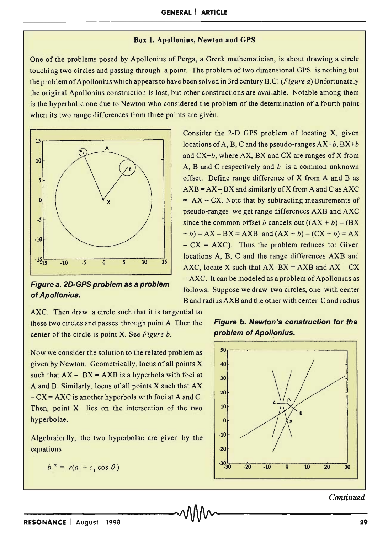#### **Box 1. Apollonius, Newton and GPS**

One of the problems posed by Apollonius of Perga, a Greek mathematician, is about drawing a circle touching two circles and passing through a point. The problem of two dimensional GPS is nothing but the problem of Apollonius which appears to have been solved in 3rd century B.C! *(Figure a)* Unfortunately the original Apollonius construction is lost, but other constructions are available. Notable among them is the hyperbolic one due to Newton who considered the problem of the determination of a fourth point when its two range differences from three points are given.



**Figure a. 2D-GPS problem as a problem of Apollonius.** 

AXC. Then draw a circle such that it is tangential to these two circles and passes through point A. Then the center of the circle is point X. See *Figure b.* 

Now we consider the solution to the related problem as given by Newton. Geometrically, locus of all points X such that  $AX - BX = AXB$  is a hyperbola with foci at A and B. Similarly, locus of all points X such that AX  $-CX = AXC$  is another hyperbola with foci at A and C. Then, point X lies on the intersection of the two hyperbolae.

Algebraically, the two hyperbolae are given by the equations

$$
b_1^2 = r(a_1 + c_1 \cos \theta)
$$

Consider the 2-D GPS problem of locating X, given locations of A, B, C and the pseudo-ranges *AX+b, BX+b*  and CX *+b,* where AX, BX and CX are ranges of X from A, Band C respectively and *b* is a common unknown offset. Define range difference of X from A and B as  $AXB = AX - BX$  and similarly of X from A and C as AXC  $= AX - CX$ . Note that by subtracting measurements of pseudo-ranges we get range differences AXB and AXC since the common offset b cancels out  $((AX + b) - (BX)$  $+ b$ ) = AX – BX = AXB and  $(AX + b) - (CX + b) = AX$  $- CX = AXC$ ). Thus the problem reduces to: Given locations A, B, C and the range differences AXB and AXC, locate X such that  $AX-BX = AXB$  and  $AX - CX$  $=$  AXC. It can be modeled as a problem of Apollonius as follows. Suppose we draw two circles, one with center B and radius AXB and the other with center C and radius

## **Figure b. Newton's construction for the problem of Apollonius.**



### *Continued*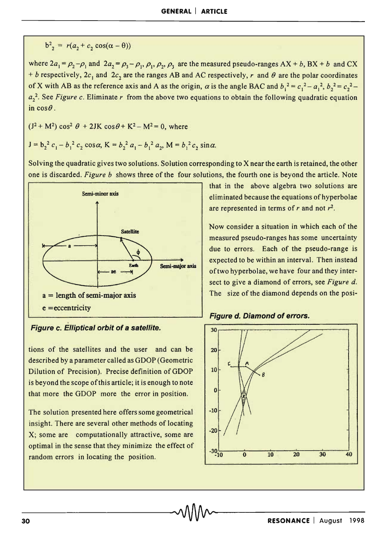$$
b22 = r(a2 + c2 cos(\alpha - \theta))
$$

where  $2a_1 = \rho_2 - \rho_1$  and  $2a_2 = \rho_3 - \rho_1$ ,  $\rho_1$ ,  $\rho_2$ ,  $\rho_3$  are the measured pseudo-ranges  $AX + b$ ,  $BX + b$  and  $CX$ + *b* respectively,  $2c_1$  and  $2c_2$  are the ranges AB and AC respectively, r and  $\theta$  are the polar coordinates of X with AB as the reference axis and A as the origin,  $\alpha$  is the angle BAC and  $b_1^2 = c_1^2 - a_1^2$ ,  $b_2^2 = c_2^2 - a_1^2$  $a_2^2$ . See *Figure c.* Eliminate *r* from the above two equations to obtain the following quadratic equation in  $cos\theta$ .

 $(J^2 + M^2) \cos^2 \theta + 2JK \cos \theta + K^2 - M^2 = 0$ , where

$$
J = b_2^2 c_1 - b_1^2 c_2 \cos \alpha, K = b_2^2 a_1 - b_1^2 a_2, M = b_1^2 c_2 \sin \alpha.
$$

Solving the quadratic gives two solutions. Solution corresponding to X near the earth is retained, the other one is discarded. *Figure b* shows three of the four solutions, the fourth one is beyond the article. Note



Figure c. Elliptical orbit of a satellite.

tions of the satellites and the user and can be described by a parameter called as GDOP (Geometric Dilution of Precision). Precise definition of GDOP is beyond the scope of this article; it is enough to note that more the GDOP more the error in position.

The solution presented here offers some geometrical insight. There are several other methods of locating X; some are computationally attractive, some are optimal in the sense that they minimize the effect of random errors in locating the position.

that in the above algebra two solutions are eliminated because the equations of hyperbolae are represented in terms of *r* and not *r2.* 

Now consider a situation in which each of the measured pseudo-ranges has some uncertainty due to errors. Each of the pseudo-range is expected to be within an interval. Then instead of two hyperbolae, we have four and they intersect to give a diamond of errors, see *Figure d.*  The size of the diamond depends on the posi-

Figure d. Diamond of errors.

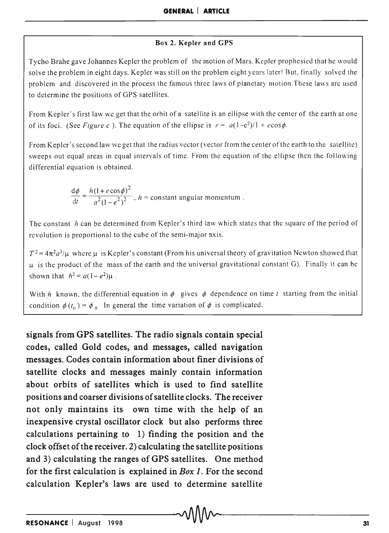#### Box 2. Kepler and CPS

Tycho Brahe gave Johannes Kepler the problem of the motion of Mars. Kepler prophesied that he would solve the problem in eight days. Kepler was still on the problem eight years later! But, finally solved the problem and discovered in the process the famous three laws of planetary motion. These laws are used to determine the positions of GPS satellites.

From Kepler's first law we get that the orbit of a satellite is an ellipse with the center of the earth at one of its foci. (See *Figure c*). The equation of the ellipse is  $r = a(1-e^2)/1 + e\cos\phi$ .

From Kepler's second law we get that the radius vector (vector from the center of the earth to the satellite) sweeps out equal areas in equal intervals of time. From the equation of the ellipse then the following differential equation is obtained.

$$
\frac{d\phi}{dt} = \frac{h(1 + e\cos\phi)^2}{a^2(1 - e^2)^2}
$$
,  $h$  = constant angular momentum.

The constant *h* can be determined from Kepler's third law which states that the square of the period of revolution is proportional to the cube of the semi-major axis.

 $T^2 = 4\pi^2 a^3/\mu$  where  $\mu$  is Kepler's constant (From his universal theory of gravitation Newton showed that  $\mu$  is the product of the mass of the earth and the universal gravitational constant G). Finally it can be shown that  $h^2 = a(1 - e^2)\mu$ .

With *h* known, the differential equation in  $\phi$  gives  $\phi$  dependence on time *t* starting from the initial condition  $\phi(t_0) = \phi_0$ . In general the time variation of  $\phi$  is complicated.

signals from GPS satellites. The radio signals contain special codes, called Gold codes, and messages, called navigation messages. Codes contain information about finer divisions of satellite clocks and messages mainly contain information about orbits of satellites which is used to find satellite positions and coarser divisions of satellite clocks. The receiver not only maintains its own time with the help of an inexpensive crystal oscillator clock but also performs three calculations pertaining to 1) finding the position and the clock offset of the receiver. 2) calculating the satellite positions and 3) calculating the ranges of GPS satellites. One method for the first calculation is explained in *Box* 1. For the second calculation Kepler's laws are used to determine satellite  $\begin{CD} \text{calculation Kepler's laws are used to determine satellite} \ \text{M} \text{M} \sim \text{M} \text{M} \sim \text{M} \text{M} \sim \text{M} \text{M} \sim \text{M} \text{M} \cdot \text{M} \cdot \text{M} \cdot \text{M} \cdot \text{M} \cdot \text{M} \cdot \text{M} \cdot \text{M} \cdot \text{M} \cdot \text{M} \cdot \text{M} \cdot \text{M} \cdot \text{M} \cdot \text{M} \cdot \text{M} \cdot \text{M} \cdot \text{M} \cdot \text{M} \cdot \text{M} \cdot \text{M} \cdot \text{M} \cdot$